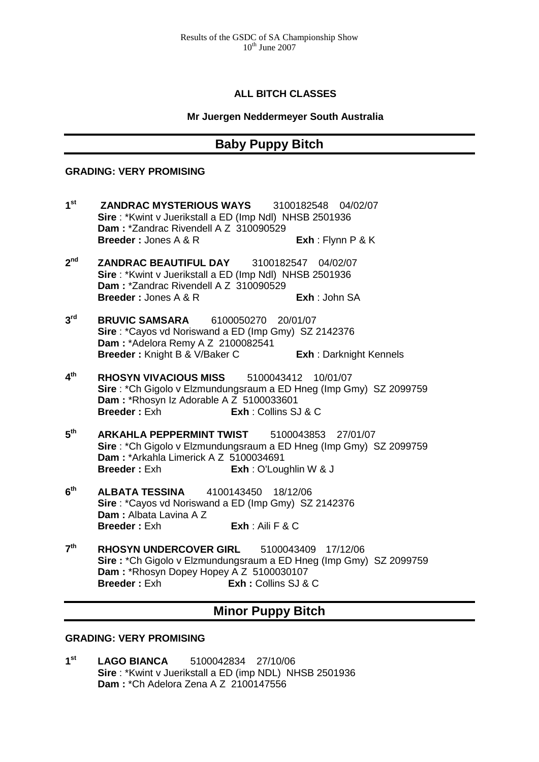## **ALL BITCH CLASSES**

### **Mr Juergen Neddermeyer South Australia**

## **Baby Puppy Bitch**

#### **GRADING: VERY PROMISING**

- **1st ZANDRAC MYSTERIOUS WAYS** 3100182548 04/02/07 **Sire** : \*Kwint v Juerikstall a ED (Imp Ndl) NHSB 2501936 **Dam :** \*Zandrac Rivendell A Z 310090529 **Breeder :** Jones A & R **Exh** : Flynn P & K
- **2nd ZANDRAC BEAUTIFUL DAY** 3100182547 04/02/07 **Sire** : \*Kwint v Juerikstall a ED (Imp Ndl) NHSB 2501936 **Dam :** \*Zandrac Rivendell A Z 310090529 **Breeder :** Jones A & R **Exh** : John SA
- **3rd BRUVIC SAMSARA** 6100050270 20/01/07 **Sire** : \*Cayos vd Noriswand a ED (Imp Gmy) SZ 2142376 **Dam :** \*Adelora Remy A Z 2100082541 **Breeder :** Knight B & V/Baker C **Exh** : Darknight Kennels
- **4th RHOSYN VIVACIOUS MISS** 5100043412 10/01/07 **Sire** : \*Ch Gigolo v Elzmundungsraum a ED Hneg (Imp Gmy) SZ 2099759 **Dam : \*Rhosyn Iz Adorable A Z 5100033601<br><b>Breeder : Exh Film Exh : Collins S. Breeder :** Exh **Exh** : Collins SJ & C
- **5th ARKAHLA PEPPERMINT TWIST** 5100043853 27/01/07 **Sire** : \*Ch Gigolo v Elzmundungsraum a ED Hneg (Imp Gmy) SZ 2099759 **Dam : \*Arkahla Limerick A Z 5100034691<br><b>Breeder : Exh Exh** : O'Lou **Breeder :** Exh **Exh** : O'Loughlin W & J
- **6th ALBATA TESSINA** 4100143450 18/12/06 **Sire** : \*Cayos vd Noriswand a ED (Imp Gmy) SZ 2142376 **Dam :** Albata Lavina A Z **Breeder :** Exh **Exh** : Aili F & C
- **7th RHOSYN UNDERCOVER GIRL** 5100043409 17/12/06 **Sire : \*Ch Gigolo v Elzmundungsraum a ED Hneg (Imp Gmy) SZ 2099759 Dam : \*Rhosyn Dopey Hopey A Z 5100030107<br><b>Breeder : Fxh Exh :** Collins SJ & **Breeder :** Exh **Exh :** Collins SJ & C

# **Minor Puppy Bitch**

## **GRADING: VERY PROMISING**

**1st LAGO BIANCA** 5100042834 27/10/06 **Sire** : \*Kwint v Juerikstall a ED (imp NDL) NHSB 2501936 **Dam :** \*Ch Adelora Zena A Z 2100147556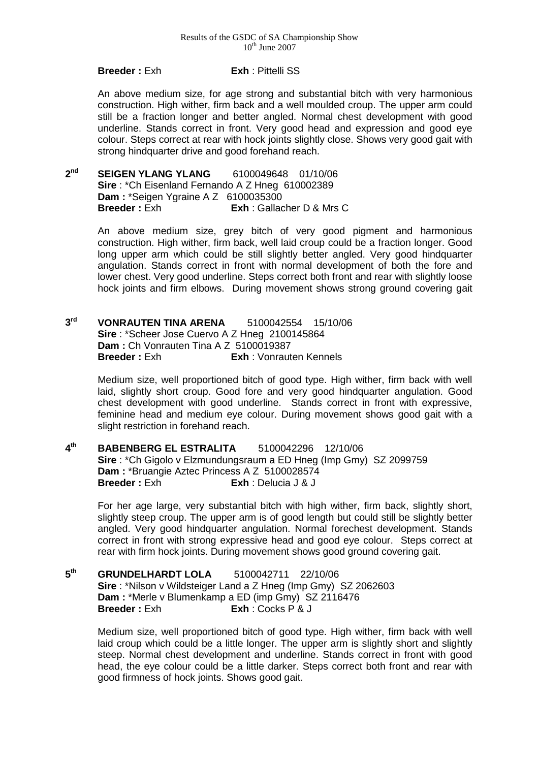#### **Breeder :** Exh **Exh** : Pittelli SS

An above medium size, for age strong and substantial bitch with very harmonious construction. High wither, firm back and a well moulded croup. The upper arm could still be a fraction longer and better angled. Normal chest development with good underline. Stands correct in front. Very good head and expression and good eye colour. Steps correct at rear with hock joints slightly close. Shows very good gait with strong hindquarter drive and good forehand reach.

**2nd SEIGEN YLANG YLANG** 6100049648 01/10/06 **Sire** : \*Ch Eisenland Fernando A Z Hneg 610002389 **Dam : \*Seigen Ygraine A Z 6100035300<br><b>Breeder : Exh Exh** : Gallac **Exh** : Gallacher D & Mrs C

> An above medium size, grey bitch of very good pigment and harmonious construction. High wither, firm back, well laid croup could be a fraction longer. Good long upper arm which could be still slightly better angled. Very good hindquarter angulation. Stands correct in front with normal development of both the fore and lower chest. Very good underline. Steps correct both front and rear with slightly loose hock joints and firm elbows. During movement shows strong ground covering gait

**3rd VONRAUTEN TINA ARENA** 5100042554 15/10/06 **Sire** : \*Scheer Jose Cuervo A Z Hneg 2100145864 **Dam :** Ch Vonrauten Tina A Z 5100019387<br>**Breeder :** Exh **Exh :** Vonraut **Exh** : Vonrauten Kennels

> Medium size, well proportioned bitch of good type. High wither, firm back with well laid, slightly short croup. Good fore and very good hindquarter angulation. Good chest development with good underline. Stands correct in front with expressive, feminine head and medium eye colour. During movement shows good gait with a slight restriction in forehand reach.

**4th BABENBERG EL ESTRALITA** 5100042296 12/10/06 **Sire** : \*Ch Gigolo v Elzmundungsraum a ED Hneg (Imp Gmy) SZ 2099759 **Dam :** \*Bruangie Aztec Princess A Z 5100028574 **Breeder : Exh · Exh · Delucia J & J** 

For her age large, very substantial bitch with high wither, firm back, slightly short, slightly steep croup. The upper arm is of good length but could still be slightly better angled. Very good hindquarter angulation. Normal forechest development. Stands correct in front with strong expressive head and good eye colour. Steps correct at rear with firm hock joints. During movement shows good ground covering gait.

**5th GRUNDELHARDT LOLA** 5100042711 22/10/06 **Sire** : \*Nilson v Wildsteiger Land a Z Hneg (Imp Gmy) SZ 2062603 **Dam : \*Merle v Blumenkamp a ED (imp Gmy) SZ 2116476<br><b>Breeder : Exh Exh** : Cocks P & J **Breeder :** Exh **Exh** : Cocks P & J

Medium size, well proportioned bitch of good type. High wither, firm back with well laid croup which could be a little longer. The upper arm is slightly short and slightly steep. Normal chest development and underline. Stands correct in front with good head, the eye colour could be a little darker. Steps correct both front and rear with good firmness of hock joints. Shows good gait.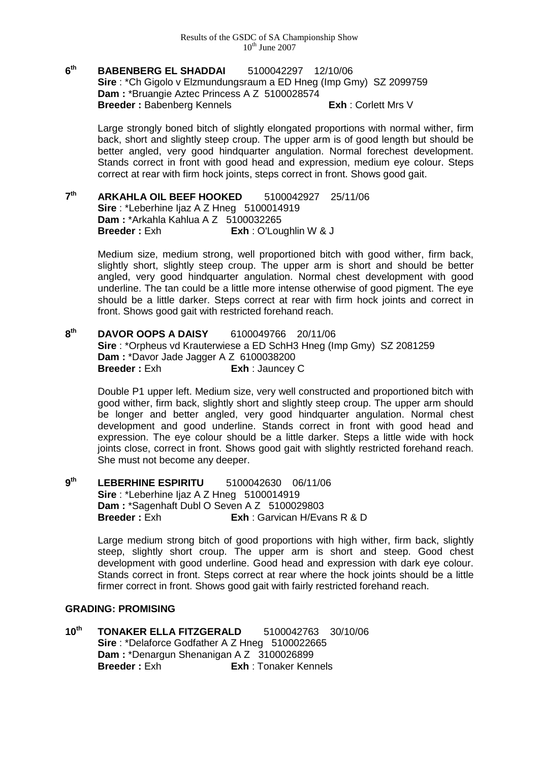### **6th BABENBERG EL SHADDAI** 5100042297 12/10/06 **Sire** : \*Ch Gigolo v Elzmundungsraum a ED Hneg (Imp Gmy) SZ 2099759 **Dam :** \*Bruangie Aztec Princess A Z 5100028574 **Breeder : Babenberg Kennels Exh : Corlett Mrs V**

Large strongly boned bitch of slightly elongated proportions with normal wither, firm back, short and slightly steep croup. The upper arm is of good length but should be better angled, very good hindquarter angulation. Normal forechest development. Stands correct in front with good head and expression, medium eye colour. Steps correct at rear with firm hock joints, steps correct in front. Shows good gait.

**7th ARKAHLA OIL BEEF HOOKED** 5100042927 25/11/06 **Sire** : \*Leberhine Ijaz A Z Hneg 5100014919 **Dam :** \*Arkahla Kahlua A Z 5100032265 **Breeder :** Exh **Exh** : O'Loughlin W & J

> Medium size, medium strong, well proportioned bitch with good wither, firm back, slightly short, slightly steep croup. The upper arm is short and should be better angled, very good hindquarter angulation. Normal chest development with good underline. The tan could be a little more intense otherwise of good pigment. The eye should be a little darker. Steps correct at rear with firm hock joints and correct in front. Shows good gait with restricted forehand reach.

**8th DAVOR OOPS A DAISY** 6100049766 20/11/06 **Sire** : \*Orpheus vd Krauterwiese a ED SchH3 Hneg (Imp Gmy) SZ 2081259 **Dam : \*Davor Jade Jagger A Z 6100038200<br><b>Breeder :** Exh **Exh : Jauncey Exh** : Jauncey C

Double P1 upper left. Medium size, very well constructed and proportioned bitch with good wither, firm back, slightly short and slightly steep croup. The upper arm should be longer and better angled, very good hindquarter angulation. Normal chest development and good underline. Stands correct in front with good head and expression. The eye colour should be a little darker. Steps a little wide with hock joints close, correct in front. Shows good gait with slightly restricted forehand reach. She must not become any deeper.

**9th LEBERHINE ESPIRITU** 5100042630 06/11/06 **Sire** : \*Leberhine Ijaz A Z Hneg 5100014919 **Dam :** \*Sagenhaft Dubl O Seven A Z 5100029803 **Breeder : Exh Exh : Garvican H/Evans R & D** 

> Large medium strong bitch of good proportions with high wither, firm back, slightly steep, slightly short croup. The upper arm is short and steep. Good chest development with good underline. Good head and expression with dark eye colour. Stands correct in front. Steps correct at rear where the hock joints should be a little firmer correct in front. Shows good gait with fairly restricted forehand reach.

## **GRADING: PROMISING**

**10th TONAKER ELLA FITZGERALD** 5100042763 30/10/06 **Sire** : \*Delaforce Godfather A Z Hneg 5100022665 **Dam : \*Denargun Shenanigan A Z 3100026899<br><b>Breeder : Exh Exh** : Tonaker Ken **Breeder :** Exh **Exh** : Tonaker Kennels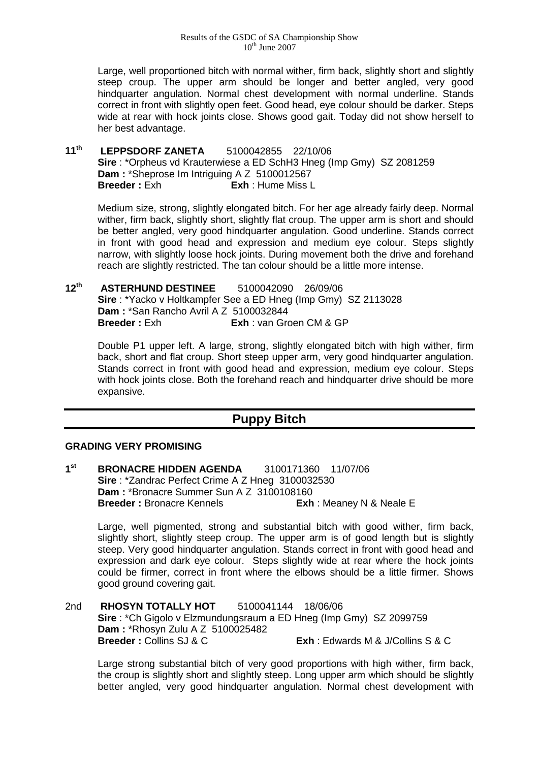Large, well proportioned bitch with normal wither, firm back, slightly short and slightly steep croup. The upper arm should be longer and better angled, very good hindquarter angulation. Normal chest development with normal underline. Stands correct in front with slightly open feet. Good head, eye colour should be darker. Steps wide at rear with hock joints close. Shows good gait. Today did not show herself to her best advantage.

**11th LEPPSDORF ZANETA** 5100042855 22/10/06 **Sire** : \*Orpheus vd Krauterwiese a ED SchH3 Hneg (Imp Gmy) SZ 2081259 **Dam : \*Sheprose Im Intriguing A Z 5100012567<br><b>Breeder : Exh Exh Exh Hume Miss I Breeder :** Exh **Exh** : Hume Miss L

Medium size, strong, slightly elongated bitch. For her age already fairly deep. Normal wither, firm back, slightly short, slightly flat croup. The upper arm is short and should be better angled, very good hindquarter angulation. Good underline. Stands correct in front with good head and expression and medium eye colour. Steps slightly narrow, with slightly loose hock joints. During movement both the drive and forehand reach are slightly restricted. The tan colour should be a little more intense.

**12th ASTERHUND DESTINEE** 5100042090 26/09/06 **Sire** : \*Yacko v Holtkampfer See a ED Hneg (Imp Gmy) SZ 2113028 **Dam :** \*San Rancho Avril A Z 5100032844 **Breeder :** Exh **Exh** : van Groen CM & GP

Double P1 upper left. A large, strong, slightly elongated bitch with high wither, firm back, short and flat croup. Short steep upper arm, very good hindquarter angulation. Stands correct in front with good head and expression, medium eye colour. Steps with hock joints close. Both the forehand reach and hindquarter drive should be more expansive.

# **Puppy Bitch**

### **GRADING VERY PROMISING**

**1st BRONACRE HIDDEN AGENDA** 3100171360 11/07/06 **Sire** : \*Zandrac Perfect Crime A Z Hneg 3100032530 **Dam : \*Bronacre Summer Sun A Z 3100108160<br><b>Breeder : Bronacre Kennels Exh Exh** : Meaney N & Neale E

Large, well pigmented, strong and substantial bitch with good wither, firm back, slightly short, slightly steep croup. The upper arm is of good length but is slightly steep. Very good hindquarter angulation. Stands correct in front with good head and expression and dark eye colour. Steps slightly wide at rear where the hock joints could be firmer, correct in front where the elbows should be a little firmer. Shows good ground covering gait.

2nd **RHOSYN TOTALLY HOT** 5100041144 18/06/06 **Sire** : \*Ch Gigolo v Elzmundungsraum a ED Hneg (Imp Gmy) SZ 2099759 **Dam : \*Rhosyn Zulu A Z 5100025482<br><b>Breeder : Collins S.I & C Exh** : Edwards M & J/Collins S & C

Large strong substantial bitch of very good proportions with high wither, firm back, the croup is slightly short and slightly steep. Long upper arm which should be slightly better angled, very good hindquarter angulation. Normal chest development with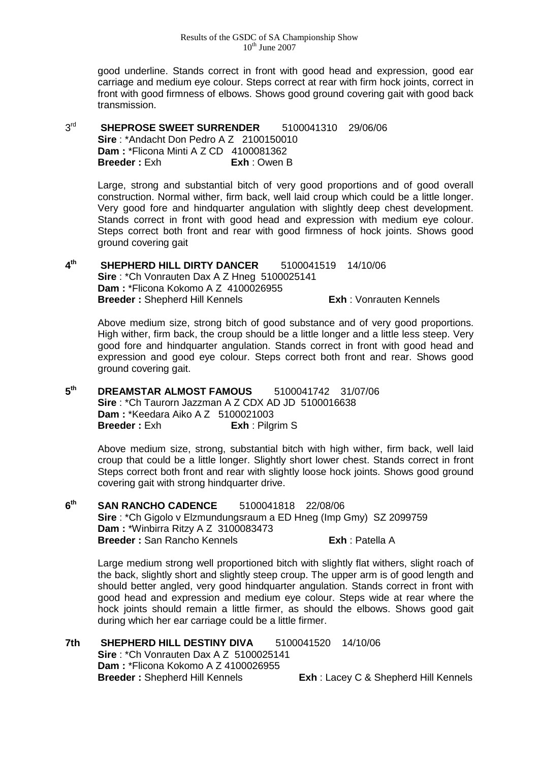good underline. Stands correct in front with good head and expression, good ear carriage and medium eye colour. Steps correct at rear with firm hock joints, correct in front with good firmness of elbows. Shows good ground covering gait with good back transmission.

## 3rd **SHEPROSE SWEET SURRENDER** 5100041310 29/06/06 **Sire** : \*Andacht Don Pedro A Z 2100150010 **Dam :** \*Flicona Minti A Z CD 4100081362 **Breeder :** Exh **Exh** : Owen B

Large, strong and substantial bitch of very good proportions and of good overall construction. Normal wither, firm back, well laid croup which could be a little longer. Very good fore and hindquarter angulation with slightly deep chest development. Stands correct in front with good head and expression with medium eye colour. Steps correct both front and rear with good firmness of hock joints. Shows good ground covering gait

**4th SHEPHERD HILL DIRTY DANCER** 5100041519 14/10/06 **Sire** : \*Ch Vonrauten Dax A Z Hneg 5100025141 **Dam :** \*Flicona Kokomo A Z 4100026955 **Breeder :** Shepherd Hill Kennels **Exh** : Vonrauten Kennels

Above medium size, strong bitch of good substance and of very good proportions. High wither, firm back, the croup should be a little longer and a little less steep. Very good fore and hindquarter angulation. Stands correct in front with good head and expression and good eye colour. Steps correct both front and rear. Shows good ground covering gait.

**5th DREAMSTAR ALMOST FAMOUS** 5100041742 31/07/06 **Sire** : \*Ch Taurorn Jazzman A Z CDX AD JD 5100016638 **Dam :** \*Keedara Aiko A Z 5100021003 **Breeder :** Exh **Exh** : Pilgrim S

> Above medium size, strong, substantial bitch with high wither, firm back, well laid croup that could be a little longer. Slightly short lower chest. Stands correct in front Steps correct both front and rear with slightly loose hock joints. Shows good ground covering gait with strong hindquarter drive.

**6th SAN RANCHO CADENCE** 5100041818 22/08/06 **Sire** : \*Ch Gigolo v Elzmundungsraum a ED Hneg (Imp Gmy) SZ 2099759 **Dam :** \*Winbirra Ritzy A Z 3100083473 **Breeder :** San Rancho Kennels **Exh** : Patella A

Large medium strong well proportioned bitch with slightly flat withers, slight roach of the back, slightly short and slightly steep croup. The upper arm is of good length and should better angled, very good hindquarter angulation. Stands correct in front with good head and expression and medium eye colour. Steps wide at rear where the hock joints should remain a little firmer, as should the elbows. Shows good gait during which her ear carriage could be a little firmer.

**7th SHEPHERD HILL DESTINY DIVA** 5100041520 14/10/06 **Sire** : \*Ch Vonrauten Dax A Z 5100025141 **Dam :** \*Flicona Kokomo A Z 4100026955 **Breeder :** Shepherd Hill Kennels **Exh** : Lacey C & Shepherd Hill Kennels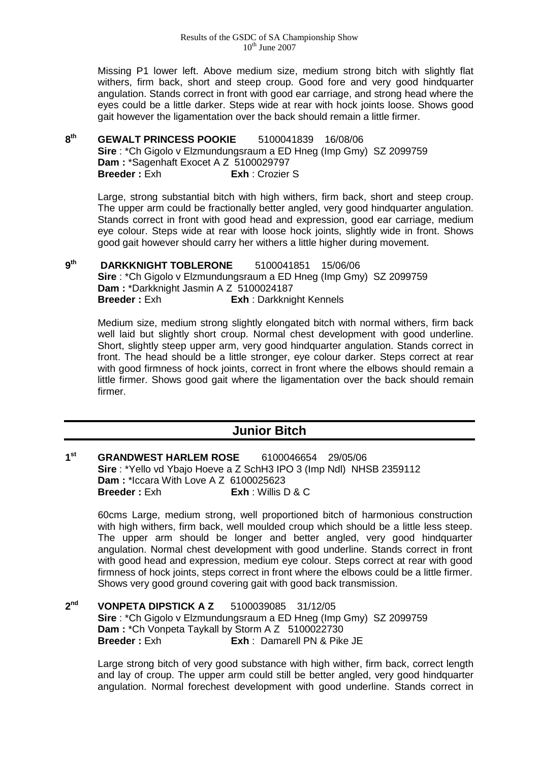Missing P1 lower left. Above medium size, medium strong bitch with slightly flat withers, firm back, short and steep croup. Good fore and very good hindquarter angulation. Stands correct in front with good ear carriage, and strong head where the eyes could be a little darker. Steps wide at rear with hock joints loose. Shows good gait however the ligamentation over the back should remain a little firmer.

## **8th GEWALT PRINCESS POOKIE** 5100041839 16/08/06 **Sire** : \*Ch Gigolo v Elzmundungsraum a ED Hneg (Imp Gmy) SZ 2099759 **Dam : \*Sagenhaft Exocet A Z 5100029797<br><b>Breeder : Exh Fxh : Crozier Exh** : Crozier S

Large, strong substantial bitch with high withers, firm back, short and steep croup. The upper arm could be fractionally better angled, very good hindquarter angulation. Stands correct in front with good head and expression, good ear carriage, medium eye colour. Steps wide at rear with loose hock joints, slightly wide in front. Shows good gait however should carry her withers a little higher during movement.

**9th DARKKNIGHT TOBLERONE** 5100041851 15/06/06 **Sire** : \*Ch Gigolo v Elzmundungsraum a ED Hneg (Imp Gmy) SZ 2099759 **Dam :** \*Darkknight Jasmin A Z 5100024187 **Breeder :** Exh **Exh** : Darkknight Kennels

Medium size, medium strong slightly elongated bitch with normal withers, firm back well laid but slightly short croup. Normal chest development with good underline. Short, slightly steep upper arm, very good hindquarter angulation. Stands correct in front. The head should be a little stronger, eye colour darker. Steps correct at rear with good firmness of hock joints, correct in front where the elbows should remain a little firmer. Shows good gait where the ligamentation over the back should remain firmer.

# **Junior Bitch**

**1st GRANDWEST HARLEM ROSE** 6100046654 29/05/06 **Sire** : \*Yello vd Ybajo Hoeve a Z SchH3 IPO 3 (Imp Ndl) NHSB 2359112 **Dam : \*Iccara With Love A Z 6100025623<br><b>Breeder :** Fxh **Exh Kitable Breeder :** Exh **Exh** : Willis D & C

60cms Large, medium strong, well proportioned bitch of harmonious construction with high withers, firm back, well moulded croup which should be a little less steep. The upper arm should be longer and better angled, very good hindquarter angulation. Normal chest development with good underline. Stands correct in front with good head and expression, medium eye colour. Steps correct at rear with good firmness of hock joints, steps correct in front where the elbows could be a little firmer. Shows very good ground covering gait with good back transmission.

**2nd VONPETA DIPSTICK A Z** 5100039085 31/12/05 **Sire** : \*Ch Gigolo v Elzmundungsraum a ED Hneg (Imp Gmy) SZ 2099759 **Dam :** \*Ch Vonpeta Taykall by Storm A Z 5100022730<br>**Breeder :** Exh **Exh :** Damarell PN & Pike **Exh** : Damarell PN & Pike JE

Large strong bitch of very good substance with high wither, firm back, correct length and lay of croup. The upper arm could still be better angled, very good hindquarter angulation. Normal forechest development with good underline. Stands correct in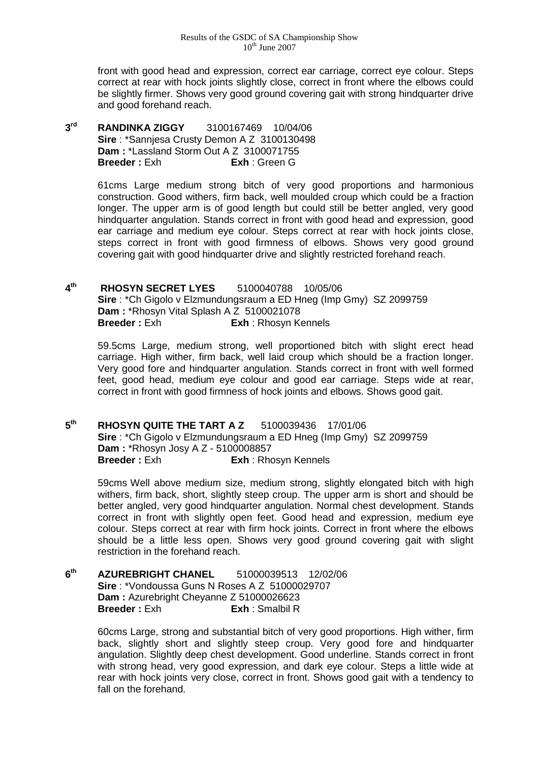front with good head and expression, correct ear carriage, correct eye colour. Steps correct at rear with hock joints slightly close, correct in front where the elbows could be slightly firmer. Shows very good ground covering gait with strong hindquarter drive and good forehand reach.

**3rd RANDINKA ZIGGY** 3100167469 10/04/06 **Sire** : \*Sannjesa Crusty Demon A Z 3100130498 **Dam :** \*Lassland Storm Out A Z 3100071755 **Breeder :** Exh **Exh** : Green G

> 61cms Large medium strong bitch of very good proportions and harmonious construction. Good withers, firm back, well moulded croup which could be a fraction longer. The upper arm is of good length but could still be better angled, very good hindquarter angulation. Stands correct in front with good head and expression, good ear carriage and medium eye colour. Steps correct at rear with hock joints close, steps correct in front with good firmness of elbows. Shows very good ground covering gait with good hindquarter drive and slightly restricted forehand reach.

**4th RHOSYN SECRET LYES** 5100040788 10/05/06 **Sire** : \*Ch Gigolo v Elzmundungsraum a ED Hneg (Imp Gmy) SZ 2099759 **Dam :** \*Rhosyn Vital Splash A Z 5100021078 **Breeder :** Exh **Exh** : Rhosyn Kennels

59.5cms Large, medium strong, well proportioned bitch with slight erect head carriage. High wither, firm back, well laid croup which should be a fraction longer. Very good fore and hindquarter angulation. Stands correct in front with well formed feet, good head, medium eye colour and good ear carriage. Steps wide at rear, correct in front with good firmness of hock joints and elbows. Shows good gait.

**5th RHOSYN QUITE THE TART A Z** 5100039436 17/01/06 **Sire** : \*Ch Gigolo v Elzmundungsraum a ED Hneg (Imp Gmy) SZ 2099759 **Dam :** \*Rhosyn Josy A Z - 5100008857<br>**Breeder :** Exh **Exh :** Rho **Exh** : Rhosyn Kennels

59cms Well above medium size, medium strong, slightly elongated bitch with high withers, firm back, short, slightly steep croup. The upper arm is short and should be better angled, very good hindquarter angulation. Normal chest development. Stands correct in front with slightly open feet. Good head and expression, medium eye colour. Steps correct at rear with firm hock joints. Correct in front where the elbows should be a little less open. Shows very good ground covering gait with slight restriction in the forehand reach.

**6th AZUREBRIGHT CHANEL** 51000039513 12/02/06 **Sire** : \*Vondoussa Guns N Roses A Z 51000029707 **Dam :** Azurebright Cheyanne Z 51000026623<br>**Breeder :** Exh **Exh** : Smalbil R **Breeder :** Exh **Exh** : Smalbil R

> 60cms Large, strong and substantial bitch of very good proportions. High wither, firm back, slightly short and slightly steep croup. Very good fore and hindquarter angulation. Slightly deep chest development. Good underline. Stands correct in front with strong head, very good expression, and dark eye colour. Steps a little wide at rear with hock joints very close, correct in front. Shows good gait with a tendency to fall on the forehand.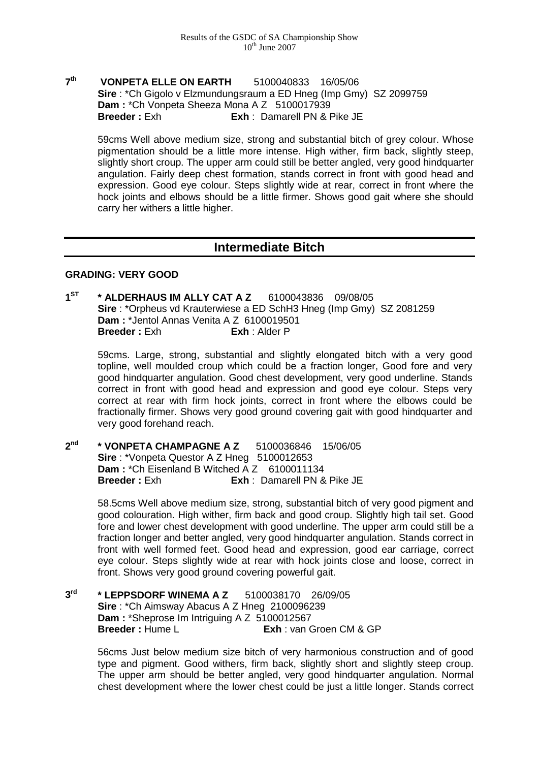## **7th VONPETA ELLE ON EARTH** 5100040833 16/05/06 **Sire** : \*Ch Gigolo v Elzmundungsraum a ED Hneg (Imp Gmy) SZ 2099759 **Dam : \*Ch Vonpeta Sheeza Mona A Z 5100017939**<br>**Breeder : Exh Exh : Damarell PN & F Exh** : Damarell PN & Pike JE

59cms Well above medium size, strong and substantial bitch of grey colour. Whose pigmentation should be a little more intense. High wither, firm back, slightly steep, slightly short croup. The upper arm could still be better angled, very good hindquarter angulation. Fairly deep chest formation, stands correct in front with good head and expression. Good eye colour. Steps slightly wide at rear, correct in front where the hock joints and elbows should be a little firmer. Shows good gait where she should carry her withers a little higher.

## **Intermediate Bitch**

### **GRADING: VERY GOOD**

**1ST \* ALDERHAUS IM ALLY CAT A Z** 6100043836 09/08/05 **Sire** : \*Orpheus vd Krauterwiese a ED SchH3 Hneg (Imp Gmy) SZ 2081259 **Dam : \*Jentol Annas Venita A Z 6100019501<br><b>Breeder : Exh Exh** : Alder P **Breeder:** Exh

59cms. Large, strong, substantial and slightly elongated bitch with a very good topline, well moulded croup which could be a fraction longer, Good fore and very good hindquarter angulation. Good chest development, very good underline. Stands correct in front with good head and expression and good eye colour. Steps very correct at rear with firm hock joints, correct in front where the elbows could be fractionally firmer. Shows very good ground covering gait with good hindquarter and very good forehand reach.

**2nd \* VONPETA CHAMPAGNE A Z** 5100036846 15/06/05 **Sire** : \*Vonpeta Questor A Z Hneg 5100012653 **Dam : \*Ch Eisenland B Witched A Z 6100011134<br><b>Breeder : Exh Exh** : Damarell PN 8 **Exh** : Damarell PN & Pike JE

> 58.5cms Well above medium size, strong, substantial bitch of very good pigment and good colouration. High wither, firm back and good croup. Slightly high tail set. Good fore and lower chest development with good underline. The upper arm could still be a fraction longer and better angled, very good hindquarter angulation. Stands correct in front with well formed feet. Good head and expression, good ear carriage, correct eye colour. Steps slightly wide at rear with hock joints close and loose, correct in front. Shows very good ground covering powerful gait.

**3rd \* LEPPSDORF WINEMA A Z** 5100038170 26/09/05 **Sire** : \*Ch Aimsway Abacus A Z Hneg 2100096239 **Dam : \*Sheprose Im Intriguing A Z 5100012567<br><b>Breeder : Hume L Exh** : van C **Exh** : van Groen CM & GP

> 56cms Just below medium size bitch of very harmonious construction and of good type and pigment. Good withers, firm back, slightly short and slightly steep croup. The upper arm should be better angled, very good hindquarter angulation. Normal chest development where the lower chest could be just a little longer. Stands correct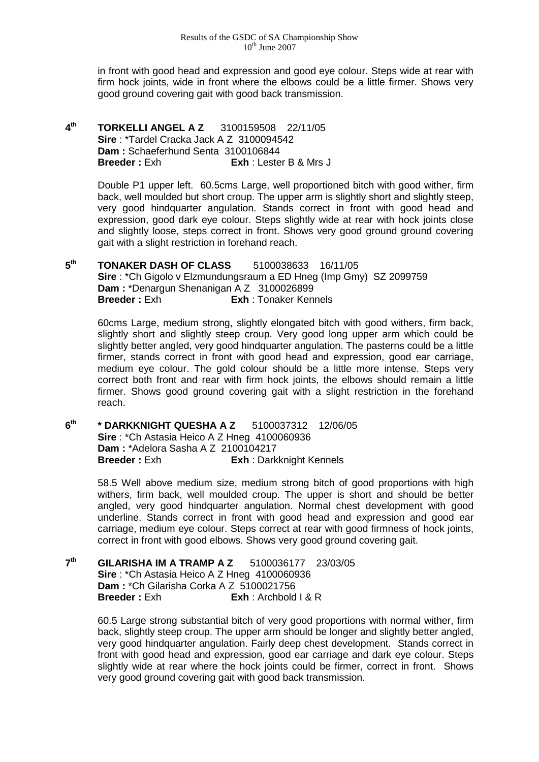in front with good head and expression and good eye colour. Steps wide at rear with firm hock joints, wide in front where the elbows could be a little firmer. Shows very good ground covering gait with good back transmission.

**4th TORKELLI ANGEL A Z** 3100159508 22/11/05 **Sire** : \*Tardel Cracka Jack A Z 3100094542 **Dam :** Schaeferhund Senta 3100106844 **Breeder :** Exh **Exh** : Lester B & Mrs J

> Double P1 upper left. 60.5cms Large, well proportioned bitch with good wither, firm back, well moulded but short croup. The upper arm is slightly short and slightly steep, very good hindquarter angulation. Stands correct in front with good head and expression, good dark eye colour. Steps slightly wide at rear with hock joints close and slightly loose, steps correct in front. Shows very good ground ground covering gait with a slight restriction in forehand reach.

**5th TONAKER DASH OF CLASS** 5100038633 16/11/05 **Sire** : \*Ch Gigolo v Elzmundungsraum a ED Hneg (Imp Gmy) SZ 2099759 **Dam :** \*Denargun Shenanigan A Z 3100026899 **Breeder :** Exh **Exh** : Tonaker Kennels

60cms Large, medium strong, slightly elongated bitch with good withers, firm back, slightly short and slightly steep croup. Very good long upper arm which could be slightly better angled, very good hindquarter angulation. The pasterns could be a little firmer, stands correct in front with good head and expression, good ear carriage, medium eye colour. The gold colour should be a little more intense. Steps very correct both front and rear with firm hock joints, the elbows should remain a little firmer. Shows good ground covering gait with a slight restriction in the forehand reach.

**6th \* DARKKNIGHT QUESHA A Z** 5100037312 12/06/05 **Sire** : \*Ch Astasia Heico A Z Hneg 4100060936 **Dam : \*Adelora Sasha A Z 2100104217<br><b>Breeder :** Exh **Exh Exh** : Dark **Exh** : Darkknight Kennels

> 58.5 Well above medium size, medium strong bitch of good proportions with high withers, firm back, well moulded croup. The upper is short and should be better angled, very good hindquarter angulation. Normal chest development with good underline. Stands correct in front with good head and expression and good ear carriage, medium eye colour. Steps correct at rear with good firmness of hock joints, correct in front with good elbows. Shows very good ground covering gait.

**7th GILARISHA IM A TRAMP A Z** 5100036177 23/03/05 **Sire** : \*Ch Astasia Heico A Z Hneg 4100060936 **Dam :** \*Ch Gilarisha Corka A Z 5100021756 **Breeder :** Exh **Exh** : Archbold I & R

> 60.5 Large strong substantial bitch of very good proportions with normal wither, firm back, slightly steep croup. The upper arm should be longer and slightly better angled, very good hindquarter angulation. Fairly deep chest development. Stands correct in front with good head and expression, good ear carriage and dark eye colour. Steps slightly wide at rear where the hock joints could be firmer, correct in front. Shows very good ground covering gait with good back transmission.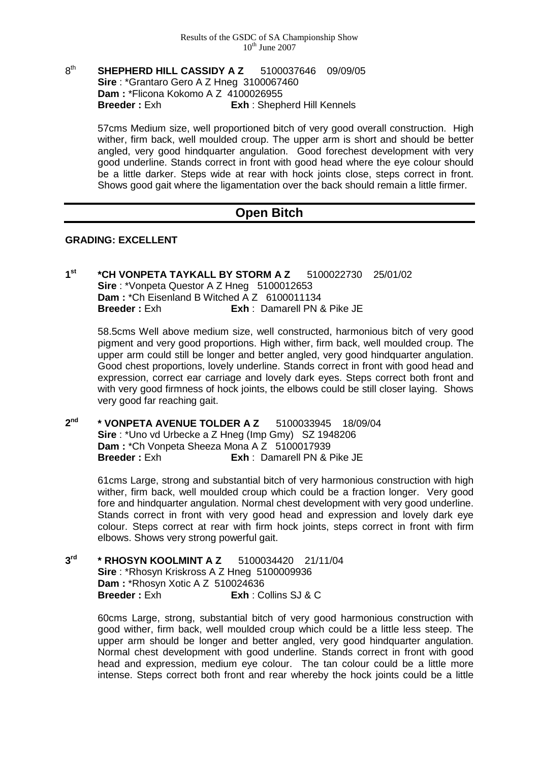## 8th **SHEPHERD HILL CASSIDY A Z** 5100037646 09/09/05 **Sire** : \*Grantaro Gero A Z Hneg 3100067460 **Dam : \*Flicona Kokomo A Z 4100026955<br><b>Breeder : Exh Exh** Sheph **Exh** : Shepherd Hill Kennels

57cms Medium size, well proportioned bitch of very good overall construction. High wither, firm back, well moulded croup. The upper arm is short and should be better angled, very good hindquarter angulation. Good forechest development with very good underline. Stands correct in front with good head where the eye colour should be a little darker. Steps wide at rear with hock joints close, steps correct in front. Shows good gait where the ligamentation over the back should remain a little firmer.

## **Open Bitch**

### **GRADING: EXCELLENT**

**1st \*CH VONPETA TAYKALL BY STORM A Z** 5100022730 25/01/02 **Sire** : \*Vonpeta Questor A Z Hneg 5100012653 **Dam : \*Ch Eisenland B Witched A Z 6100011134<br><b>Breeder : Exh Exh Exh Damarell PN 8 Breeder :** Exh **Exh** : Damarell PN & Pike JE

58.5cms Well above medium size, well constructed, harmonious bitch of very good pigment and very good proportions. High wither, firm back, well moulded croup. The upper arm could still be longer and better angled, very good hindquarter angulation. Good chest proportions, lovely underline. Stands correct in front with good head and expression, correct ear carriage and lovely dark eyes. Steps correct both front and with very good firmness of hock joints, the elbows could be still closer laying. Shows very good far reaching gait.

**2nd \* VONPETA AVENUE TOLDER A Z** 5100033945 18/09/04 **Sire** : \*Uno vd Urbecke a Z Hneg (Imp Gmy) SZ 1948206 **Dam :** \*Ch Vonpeta Sheeza Mona A Z 5100017939 **Breeder :** Exh **Exh** : Damarell PN & Pike JE

> 61cms Large, strong and substantial bitch of very harmonious construction with high wither, firm back, well moulded croup which could be a fraction longer. Very good fore and hindquarter angulation. Normal chest development with very good underline. Stands correct in front with very good head and expression and lovely dark eye colour. Steps correct at rear with firm hock joints, steps correct in front with firm elbows. Shows very strong powerful gait.

**3rd \* RHOSYN KOOLMINT A Z** 5100034420 21/11/04 **Sire** : \*Rhosyn Kriskross A Z Hneg 5100009936 **Dam : \*Rhosyn Xotic A Z 510024636<br><b>Breeder : Exh Exh Exh** C **Breeder :** Exh **Exh** : Collins SJ & C

> 60cms Large, strong, substantial bitch of very good harmonious construction with good wither, firm back, well moulded croup which could be a little less steep. The upper arm should be longer and better angled, very good hindquarter angulation. Normal chest development with good underline. Stands correct in front with good head and expression, medium eye colour. The tan colour could be a little more intense. Steps correct both front and rear whereby the hock joints could be a little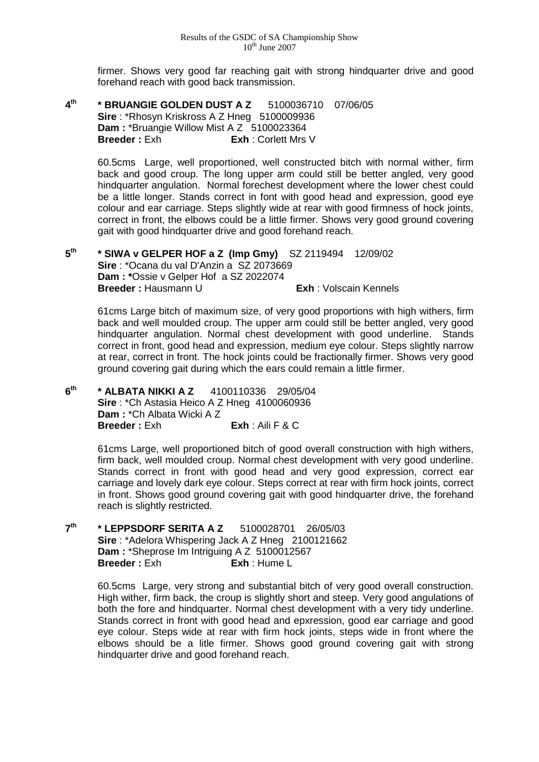firmer. Shows very good far reaching gait with strong hindquarter drive and good forehand reach with good back transmission.

**4th \* BRUANGIE GOLDEN DUST A Z** 5100036710 07/06/05 **Sire** : \*Rhosyn Kriskross A Z Hneg 5100009936 **Dam : \*Bruangie Willow Mist A Z 5100023364 Breeder : Exh Exh : Corlett Mrs V** 

> 60.5cms Large, well proportioned, well constructed bitch with normal wither, firm back and good croup. The long upper arm could still be better angled, very good hindquarter angulation. Normal forechest development where the lower chest could be a little longer. Stands correct in font with good head and expression, good eye colour and ear carriage. Steps slightly wide at rear with good firmness of hock joints, correct in front, the elbows could be a little firmer. Shows very good ground covering gait with good hindquarter drive and good forehand reach.

**5th \* SIWA v GELPER HOF a Z (Imp Gmy)** SZ 2119494 12/09/02 **Sire** : \*Ocana du val D'Anzin a SZ 2073669 **Dam : \***Ossie v Gelper Hof a SZ 2022074 **Breeder :** Hausmann U **Exh** : Volscain Kennels

61cms Large bitch of maximum size, of very good proportions with high withers, firm back and well moulded croup. The upper arm could still be better angled, very good hindquarter angulation. Normal chest development with good underline. Stands correct in front, good head and expression, medium eye colour. Steps slightly narrow at rear, correct in front. The hock joints could be fractionally firmer. Shows very good ground covering gait during which the ears could remain a little firmer.

**6th \* ALBATA NIKKI A Z** 4100110336 29/05/04 **Sire** : \*Ch Astasia Heico A Z Hneg 4100060936 **Dam :** \*Ch Albata Wicki A Z **Breeder :** Exh **Exh** : Aili F & C

> 61cms Large, well proportioned bitch of good overall construction with high withers, firm back, well moulded croup. Normal chest development with very good underline. Stands correct in front with good head and very good expression, correct ear carriage and lovely dark eye colour. Steps correct at rear with firm hock joints, correct in front. Shows good ground covering gait with good hindquarter drive, the forehand reach is slightly restricted.

**7th \* LEPPSDORF SERITA A Z** 5100028701 26/05/03 **Sire** : \*Adelora Whispering Jack A Z Hneg 2100121662 **Dam : \*Sheprose Im Intriguing A Z 5100012567<br><b>Breeder : Exh Exh :** Hume L **Breeder:** Exh

> 60.5cms Large, very strong and substantial bitch of very good overall construction. High wither, firm back, the croup is slightly short and steep. Very good angulations of both the fore and hindquarter. Normal chest development with a very tidy underline. Stands correct in front with good head and epxression, good ear carriage and good eye colour. Steps wide at rear with firm hock joints, steps wide in front where the elbows should be a litle firmer. Shows good ground covering gait with strong hindquarter drive and good forehand reach.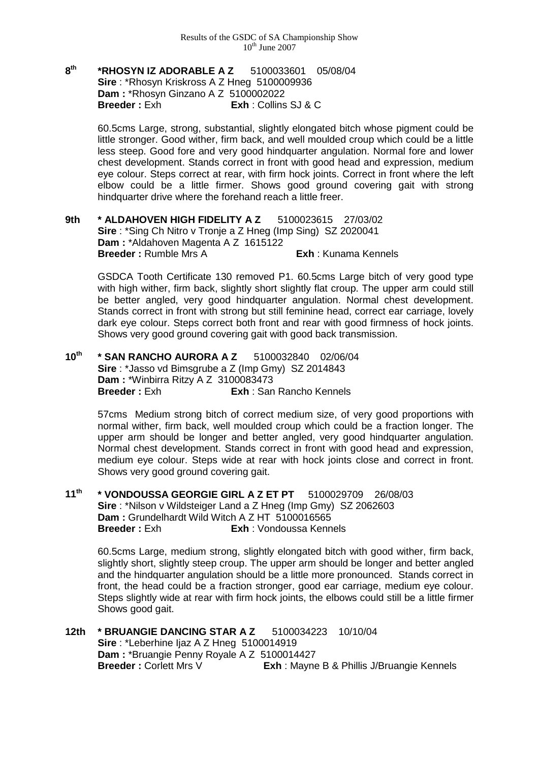**8th \*RHOSYN IZ ADORABLE A Z** 5100033601 05/08/04 **Sire** : \*Rhosyn Kriskross A Z Hneg 5100009936 **Dam : \*Rhosyn Ginzano A Z 5100002022<br><b>Breeder :** Exh **Exh Exh** : Collins **Breeder :** Exh **Exh** : Collins SJ & C

> 60.5cms Large, strong, substantial, slightly elongated bitch whose pigment could be little stronger. Good wither, firm back, and well moulded croup which could be a little less steep. Good fore and very good hindquarter angulation. Normal fore and lower chest development. Stands correct in front with good head and expression, medium eye colour. Steps correct at rear, with firm hock joints. Correct in front where the left elbow could be a little firmer. Shows good ground covering gait with strong hindquarter drive where the forehand reach a little freer.

**9th \* ALDAHOVEN HIGH FIDELITY A Z** 5100023615 27/03/02 **Sire** : \*Sing Ch Nitro v Tronje a Z Hneg (Imp Sing) SZ 2020041 **Dam :** \*Aldahoven Magenta A Z 1615122 **Breeder :** Rumble Mrs A **Exh : Kunama Kennels** 

GSDCA Tooth Certificate 130 removed P1. 60.5cms Large bitch of very good type with high wither, firm back, slightly short slightly flat croup. The upper arm could still be better angled, very good hindquarter angulation. Normal chest development. Stands correct in front with strong but still feminine head, correct ear carriage, lovely dark eye colour. Steps correct both front and rear with good firmness of hock joints. Shows very good ground covering gait with good back transmission.

**10th \* SAN RANCHO AURORA A Z** 5100032840 02/06/04 **Sire** : \*Jasso vd Bimsgrube a Z (Imp Gmy) SZ 2014843 **Dam : \*Winbirra Ritzy A Z 3100083473**<br>**Breeder : Exh Exh : San Exh** : San Rancho Kennels

> 57cms Medium strong bitch of correct medium size, of very good proportions with normal wither, firm back, well moulded croup which could be a fraction longer. The upper arm should be longer and better angled, very good hindquarter angulation. Normal chest development. Stands correct in front with good head and expression, medium eye colour. Steps wide at rear with hock joints close and correct in front. Shows very good ground covering gait.

**11th \* VONDOUSSA GEORGIE GIRL A Z ET PT** 5100029709 26/08/03 **Sire** : \*Nilson v Wildsteiger Land a Z Hneg (Imp Gmy) SZ 2062603 **Dam : Grundelhardt Wild Witch A Z HT 5100016565<br><b>Breeder : Exh Exh** : Vondoussa Kenn **Exh** : Vondoussa Kennels

60.5cms Large, medium strong, slightly elongated bitch with good wither, firm back, slightly short, slightly steep croup. The upper arm should be longer and better angled and the hindquarter angulation should be a little more pronounced. Stands correct in front, the head could be a fraction stronger, good ear carriage, medium eye colour. Steps slightly wide at rear with firm hock joints, the elbows could still be a little firmer Shows good gait.

**12th \* BRUANGIE DANCING STAR A Z** 5100034223 10/10/04 **Sire** : \*Leberhine Ijaz A Z Hneg 5100014919 **Dam :** \*Bruangie Penny Royale A Z 5100014427 **Breeder :** Corlett Mrs V **Exh** : Mayne B & Phillis J/Bruangie Kennels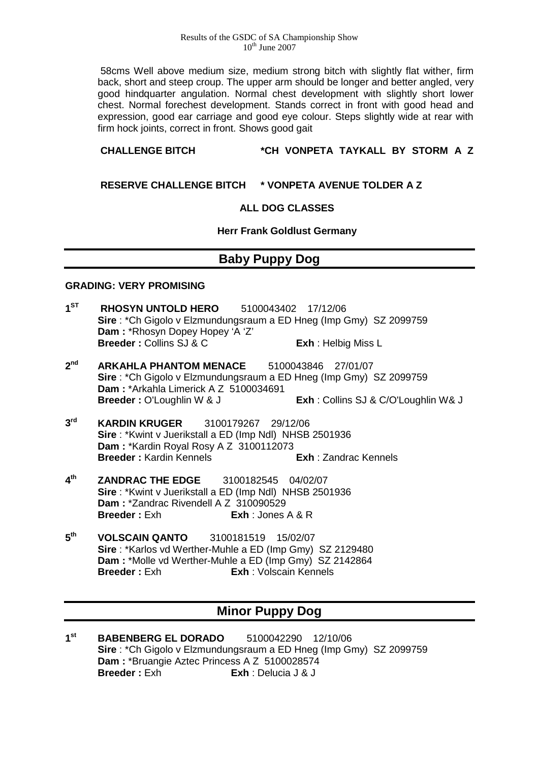#### Results of the GSDC of SA Championship Show  $10^{th}$  June 2007

58cms Well above medium size, medium strong bitch with slightly flat wither, firm back, short and steep croup. The upper arm should be longer and better angled, very good hindquarter angulation. Normal chest development with slightly short lower chest. Normal forechest development. Stands correct in front with good head and expression, good ear carriage and good eye colour. Steps slightly wide at rear with firm hock joints, correct in front. Shows good gait

## **CHALLENGE BITCH \*CH VONPETA TAYKALL BY STORM A Z**

**RESERVE CHALLENGE BITCH \* VONPETA AVENUE TOLDER A Z** 

### **ALL DOG CLASSES**

**Herr Frank Goldlust Germany**

# **Baby Puppy Dog**

### **GRADING: VERY PROMISING**

- **1ST RHOSYN UNTOLD HERO** 5100043402 17/12/06 **Sire** : \*Ch Gigolo v Elzmundungsraum a ED Hneg (Imp Gmy) SZ 2099759 **Dam :** \*Rhosyn Dopey Hopey 'A 'Z' **Breeder : Collins SJ & C** Exh : Helbig Miss L
- **2nd ARKAHLA PHANTOM MENACE** 5100043846 27/01/07 **Sire** : \*Ch Gigolo v Elzmundungsraum a ED Hneg (Imp Gmy) SZ 2099759 **Dam : \*Arkahla Limerick A Z 5100034691<br><b>Breeder :** O'Loughlin W & J **Exh** : Collins SJ & C/O'Loughlin W& J
- **3rd KARDIN KRUGER** 3100179267 29/12/06 **Sire** : \*Kwint v Juerikstall a ED (Imp Ndl) NHSB 2501936 **Dam :** \*Kardin Royal Rosy A Z 3100112073 **Breeder :** Kardin Kennels **Exh** : Zandrac Kennels
- **4th ZANDRAC THE EDGE** 3100182545 04/02/07 **Sire** : \*Kwint v Juerikstall a ED (Imp Ndl) NHSB 2501936 **Dam : \*Zandrac Rivendell A Z 310090529<br><b>Breeder :** Exh **Exh Exh** : Jones **Breeder :** Exh **Exh** : Jones A & R
- **5th VOLSCAIN QANTO** 3100181519 15/02/07 **Sire** : \*Karlos vd Werther-Muhle a ED (Imp Gmy) SZ 2129480 **Dam : \*Molle vd Werther-Muhle a ED (Imp Gmy) SZ 2142864<br><b>Breeder : Exh Exh :** Volscain Kennels **Exh** : Volscain Kennels

# **Minor Puppy Dog**

**1st BABENBERG EL DORADO** 5100042290 12/10/06 **Sire** : \*Ch Gigolo v Elzmundungsraum a ED Hneg (Imp Gmy) SZ 2099759 **Dam : \*Bruangie Aztec Princess A Z 5100028574**<br>**Breeder : Exh Exh : Delucia J & J Breeder :** Exh **Exh** : Delucia J & J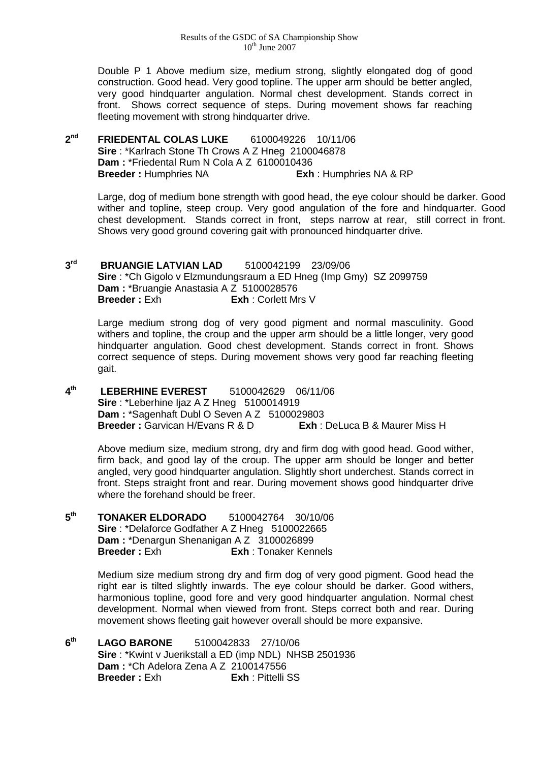Double P 1 Above medium size, medium strong, slightly elongated dog of good construction. Good head. Very good topline. The upper arm should be better angled, very good hindquarter angulation. Normal chest development. Stands correct in front. Shows correct sequence of steps. During movement shows far reaching fleeting movement with strong hindquarter drive.

**2nd FRIEDENTAL COLAS LUKE** 6100049226 10/11/06 **Sire** : \*Karlrach Stone Th Crows A Z Hneg 2100046878 **Dam : \*Friedental Rum N Cola A Z 6100010436<br><b>Breeder : Humphries NA Limphries 1 Breeder :** Humphries NA **Exh** : Humphries NA & RP

Large, dog of medium bone strength with good head, the eye colour should be darker. Good wither and topline, steep croup. Very good angulation of the fore and hindquarter. Good chest development. Stands correct in front, steps narrow at rear, still correct in front. Shows very good ground covering gait with pronounced hindquarter drive.

**3rd BRUANGIE LATVIAN LAD** 5100042199 23/09/06 **Sire** : \*Ch Gigolo v Elzmundungsraum a ED Hneg (Imp Gmy) SZ 2099759 **Dam :** \*Bruangie Anastasia A Z 5100028576 **Breeder :** Exh **Exh** : Corlett Mrs V

Large medium strong dog of very good pigment and normal masculinity. Good withers and topline, the croup and the upper arm should be a little longer, very good hindquarter angulation. Good chest development. Stands correct in front. Shows correct sequence of steps. During movement shows very good far reaching fleeting gait.

**4th LEBERHINE EVEREST** 5100042629 06/11/06 **Sire** : \*Leberhine Ijaz A Z Hneg 5100014919 **Dam :** \*Sagenhaft Dubl O Seven A Z 5100029803 **Breeder : Garvican H/Evans R & D Exh : DeLuca B & Maurer Miss H** 

Above medium size, medium strong, dry and firm dog with good head. Good wither, firm back, and good lay of the croup. The upper arm should be longer and better angled, very good hindquarter angulation. Slightly short underchest. Stands correct in front. Steps straight front and rear. During movement shows good hindquarter drive where the forehand should be freer.

**5th TONAKER ELDORADO** 5100042764 30/10/06 **Sire** : \*Delaforce Godfather A Z Hneg 5100022665 **Dam : \*Denargun Shenanigan A Z 3100026899<br><b>Breeder : Exh Breeder : Exh Breeder** : Exh Breeder **Breeder :** Exh **Exh** : Tonaker Kennels

> Medium size medium strong dry and firm dog of very good pigment. Good head the right ear is tilted slightly inwards. The eye colour should be darker. Good withers, harmonious topline, good fore and very good hindquarter angulation. Normal chest development. Normal when viewed from front. Steps correct both and rear. During movement shows fleeting gait however overall should be more expansive.

**6th LAGO BARONE** 5100042833 27/10/06 **Sire** : \*Kwint v Juerikstall a ED (imp NDL) NHSB 2501936 **Dam : \*Ch Adelora Zena A Z 2100147556<br><b>Breeder : Exh Breeder : Exh Exh** : Pittelli SS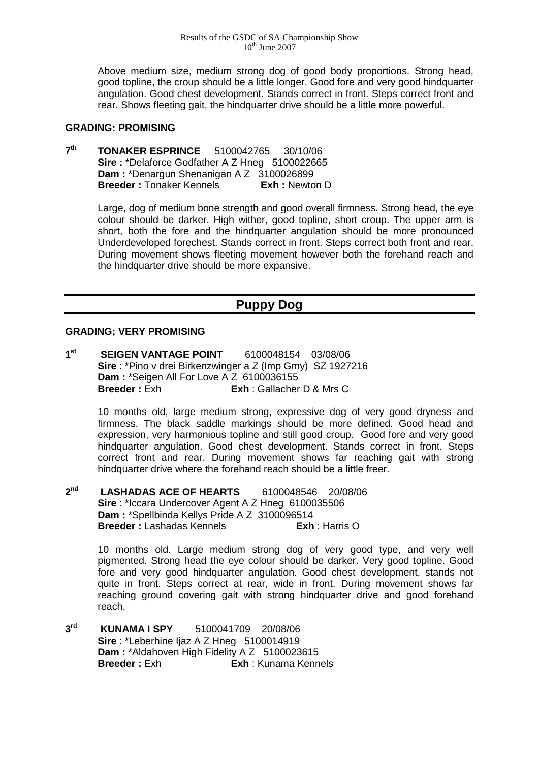Above medium size, medium strong dog of good body proportions. Strong head, good topline, the croup should be a little longer. Good fore and very good hindquarter angulation. Good chest development. Stands correct in front. Steps correct front and rear. Shows fleeting gait, the hindquarter drive should be a little more powerful.

### **GRADING: PROMISING**

**7th TONAKER ESPRINCE** 5100042765 30/10/06 Sire : \*Delaforce Godfather A Z Hneg 5100022665 **Dam :** \*Denargun Shenanigan A Z 3100026899<br>**Breeder :** Tonaker Kennels **Exh :** Newton D **Breeder : Tonaker Kennels** 

> Large, dog of medium bone strength and good overall firmness. Strong head, the eye colour should be darker. High wither, good topline, short croup. The upper arm is short, both the fore and the hindquarter angulation should be more pronounced Underdeveloped forechest. Stands correct in front. Steps correct both front and rear. During movement shows fleeting movement however both the forehand reach and the hindquarter drive should be more expansive.

# **Puppy Dog**

### **GRADING; VERY PROMISING**

**1st SEIGEN VANTAGE POINT** 6100048154 03/08/06 **Sire** : \*Pino v drei Birkenzwinger a Z (Imp Gmy) SZ 1927216 **Dam : \*Seigen All For Love A Z 6100036155**<br>**Breeder : Exh Fxh : Gallacher Exh** : Gallacher D & Mrs C

> 10 months old, large medium strong, expressive dog of very good dryness and firmness. The black saddle markings should be more defined. Good head and expression, very harmonious topline and still good croup. Good fore and very good hindquarter angulation. Good chest development. Stands correct in front. Steps correct front and rear. During movement shows far reaching gait with strong hindquarter drive where the forehand reach should be a little freer.

**2nd LASHADAS ACE OF HEARTS** 6100048546 20/08/06 **Sire** : \*Iccara Undercover Agent A Z Hneg 6100035506 **Dam :** \*Spellbinda Kellys Pride A Z 3100096514 **Breeder :** Lashadas Kennels **Exh** : Harris O

> 10 months old. Large medium strong dog of very good type, and very well pigmented. Strong head the eye colour should be darker. Very good topline. Good fore and very good hindquarter angulation. Good chest development, stands not quite in front. Steps correct at rear, wide in front. During movement shows far reaching ground covering gait with strong hindquarter drive and good forehand reach.

**3rd KUNAMA I SPY** 5100041709 20/08/06 **Sire** : \*Leberhine Ijaz A Z Hneg 5100014919 **Dam : \***Aldahoven High Fidelity A Z 5100023615<br>**Breeder : Exh Fxh : Kunama Kenn Breeder :** Exh **Exh** : Kunama Kennels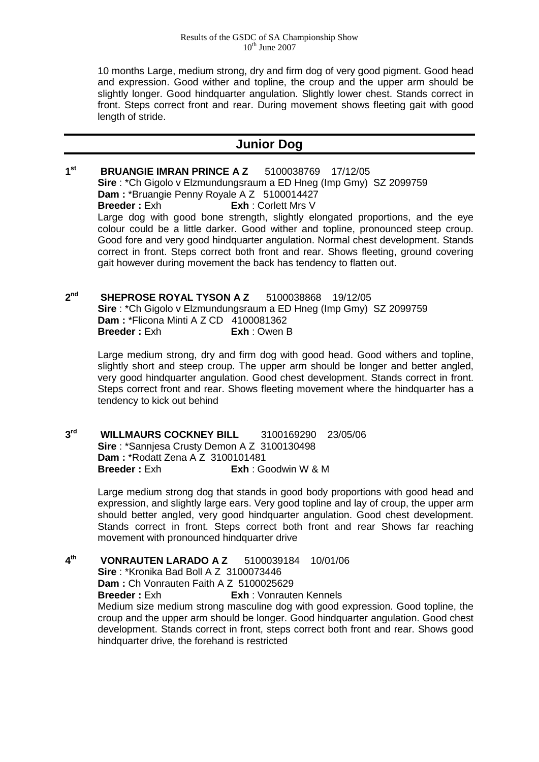10 months Large, medium strong, dry and firm dog of very good pigment. Good head and expression. Good wither and topline, the croup and the upper arm should be slightly longer. Good hindquarter angulation. Slightly lower chest. Stands correct in front. Steps correct front and rear. During movement shows fleeting gait with good length of stride.

## **Junior Dog**

- **1st BRUANGIE IMRAN PRINCE A Z** 5100038769 17/12/05 **Sire** : \*Ch Gigolo v Elzmundungsraum a ED Hneg (Imp Gmy) SZ 2099759 **Dam :** \*Bruangie Penny Royale A Z 5100014427 **Breeder :** Exh **Exh** : Corlett Mrs V Large dog with good bone strength, slightly elongated proportions, and the eye colour could be a little darker. Good wither and topline, pronounced steep croup. Good fore and very good hindquarter angulation. Normal chest development. Stands correct in front. Steps correct both front and rear. Shows fleeting, ground covering gait however during movement the back has tendency to flatten out.
- **2nd SHEPROSE ROYAL TYSON A Z** 5100038868 19/12/05 **Sire** : \*Ch Gigolo v Elzmundungsraum a ED Hneg (Imp Gmy) SZ 2099759 **Dam : \*Flicona Minti A Z CD 4100081362<br><b>Breeder : Fxh Exh** · Owen F **Breeder :** Exh **Exh** : Owen B

Large medium strong, dry and firm dog with good head. Good withers and topline, slightly short and steep croup. The upper arm should be longer and better angled, very good hindquarter angulation. Good chest development. Stands correct in front. Steps correct front and rear. Shows fleeting movement where the hindquarter has a tendency to kick out behind

**3rd WILLMAURS COCKNEY BILL** 3100169290 23/05/06 **Sire** : \*Sannjesa Crusty Demon A Z 3100130498 **Dam : \*Rodatt Zena A Z 3100101481**<br>**Breeder : Exh Fxh Fxh G Breeder :** Exh **Exh** : Goodwin W & M

> Large medium strong dog that stands in good body proportions with good head and expression, and slightly large ears. Very good topline and lay of croup, the upper arm should better angled, very good hindquarter angulation. Good chest development. Stands correct in front. Steps correct both front and rear Shows far reaching movement with pronounced hindquarter drive

**4th VONRAUTEN LARADO A Z** 5100039184 10/01/06 **Sire** : \*Kronika Bad Boll A Z 3100073446 **Dam : Ch Vonrauten Faith A Z 5100025629**<br>**Breeder : Exh Exh Exh Vonraute Exh** : Vonrauten Kennels Medium size medium strong masculine dog with good expression. Good topline, the croup and the upper arm should be longer. Good hindquarter angulation. Good chest development. Stands correct in front, steps correct both front and rear. Shows good hindquarter drive, the forehand is restricted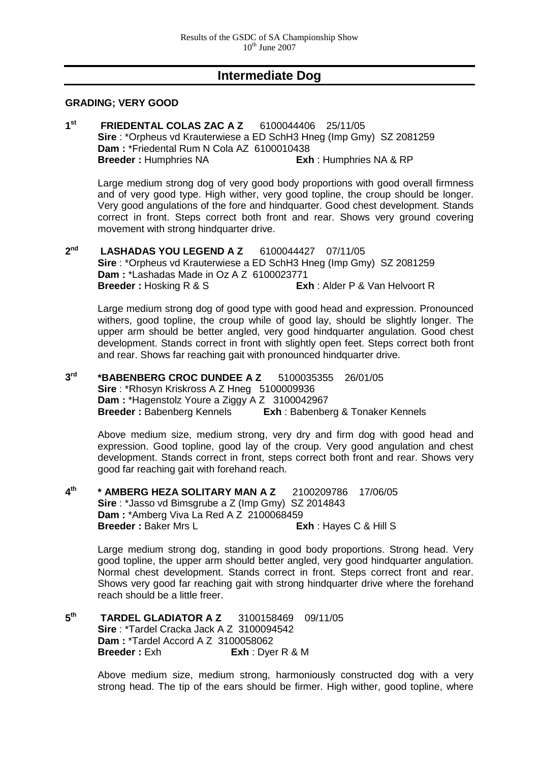## **Intermediate Dog**

#### **GRADING; VERY GOOD**

**1st FRIEDENTAL COLAS ZAC A Z** 6100044406 25/11/05 **Sire** : \*Orpheus vd Krauterwiese a ED SchH3 Hneg (Imp Gmy) SZ 2081259 **Dam :** \*Friedental Rum N Cola AZ 6100010438 **Breeder :** Humphries NA **Exh** : Humphries NA & RP

Large medium strong dog of very good body proportions with good overall firmness and of very good type. High wither, very good topline, the croup should be longer. Very good angulations of the fore and hindquarter. Good chest development. Stands correct in front. Steps correct both front and rear. Shows very ground covering movement with strong hindquarter drive.

**2nd LASHADAS YOU LEGEND A Z** 6100044427 07/11/05 **Sire** : \*Orpheus vd Krauterwiese a ED SchH3 Hneg (Imp Gmy) SZ 2081259 **Dam : \*Lashadas Made in Oz A Z 6100023771<br><b>Breeder :** Hosking R & S **Ex Exh** : Alder P & Van Helvoort R

Large medium strong dog of good type with good head and expression. Pronounced withers, good topline, the croup while of good lay, should be slightly longer. The upper arm should be better angled, very good hindquarter angulation. Good chest development. Stands correct in front with slightly open feet. Steps correct both front and rear. Shows far reaching gait with pronounced hindquarter drive.

**3rd \*BABENBERG CROC DUNDEE A Z** 5100035355 26/01/05 **Sire** : \*Rhosyn Kriskross A Z Hneg 5100009936 **Dam : \*Hagenstolz Youre a Ziggy A Z 3100042967<br><b>Breeder : Babenberg Kennels Exh : Babenbe Exh** : Babenberg & Tonaker Kennels

Above medium size, medium strong, very dry and firm dog with good head and expression. Good topline, good lay of the croup. Very good angulation and chest development. Stands correct in front, steps correct both front and rear. Shows very good far reaching gait with forehand reach.

**4th \* AMBERG HEZA SOLITARY MAN A Z** 2100209786 17/06/05 **Sire** : \*Jasso vd Bimsgrube a Z (Imp Gmy) SZ 2014843 **Dam :** \*Amberg Viva La Red A Z 2100068459 **Breeder : Baker Mrs L Exh : Hayes C & Hill S** 

Large medium strong dog, standing in good body proportions. Strong head. Very good topline, the upper arm should better angled, very good hindquarter angulation. Normal chest development. Stands correct in front. Steps correct front and rear. Shows very good far reaching gait with strong hindquarter drive where the forehand reach should be a little freer.

**5th TARDEL GLADIATOR A Z** 3100158469 09/11/05 **Sire** : \*Tardel Cracka Jack A Z 3100094542 **Dam : \*Tardel Accord A Z 3100058062<br><b>Breeder :** Exh **Exh : D**ve **Breeder :** Exh **Exh** : Dyer R & M

> Above medium size, medium strong, harmoniously constructed dog with a very strong head. The tip of the ears should be firmer. High wither, good topline, where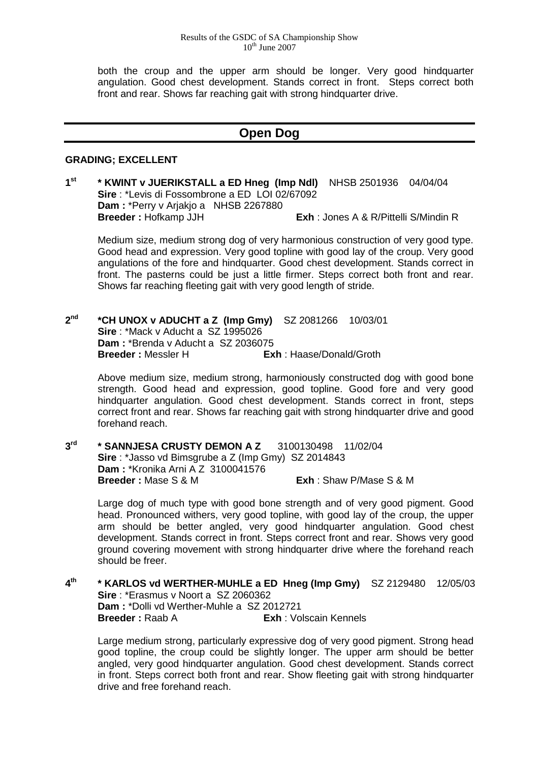both the croup and the upper arm should be longer. Very good hindquarter angulation. Good chest development. Stands correct in front. Steps correct both front and rear. Shows far reaching gait with strong hindquarter drive.

## **Open Dog**

#### **GRADING; EXCELLENT**

**1st \* KWINT v JUERIKSTALL a ED Hneg (Imp Ndl)** NHSB 2501936 04/04/04 **Sire** : \*Levis di Fossombrone a ED LOI 02/67092 Dam : \*Perry v Arjakjo a NHSB 2267880<br>Breeder : Hofkamp JJH **Exh** : Jones A & R/Pittelli S/Mindin R

Medium size, medium strong dog of very harmonious construction of very good type. Good head and expression. Very good topline with good lay of the croup. Very good angulations of the fore and hindquarter. Good chest development. Stands correct in front. The pasterns could be just a little firmer. Steps correct both front and rear. Shows far reaching fleeting gait with very good length of stride.

**2nd \*CH UNOX v ADUCHT a Z (Imp Gmy)** SZ 2081266 10/03/01 **Sire** : \*Mack v Aducht a SZ 1995026 **Dam : \*Brenda v Aducht a SZ 2036075<br><b>Breeder :** Messler H **Ex Exh** : Haase/Donald/Groth

Above medium size, medium strong, harmoniously constructed dog with good bone strength. Good head and expression, good topline. Good fore and very good hindquarter angulation. Good chest development. Stands correct in front, steps correct front and rear. Shows far reaching gait with strong hindquarter drive and good forehand reach.

**3rd \* SANNJESA CRUSTY DEMON A Z** 3100130498 11/02/04 **Sire** : \*Jasso vd Bimsgrube a Z (Imp Gmy) SZ 2014843 **Dam : \*Kronika Arni A Z 3100041576<br><b>Breeder : Mase S & M Breeder :** Mase S & M **Exh** : Shaw P/Mase S & M

Large dog of much type with good bone strength and of very good pigment. Good head. Pronounced withers, very good topline, with good lay of the croup, the upper arm should be better angled, very good hindquarter angulation. Good chest development. Stands correct in front. Steps correct front and rear. Shows very good ground covering movement with strong hindquarter drive where the forehand reach should be freer.

**4th \* KARLOS vd WERTHER-MUHLE a ED Hneg (Imp Gmy)** SZ 2129480 12/05/03 **Sire** : \*Erasmus v Noort a SZ 2060362 **Dam :** \*Dolli vd Werther-Muhle a SZ 2012721 **Breeder : Raab A** Exh : Volscain Kennels

Large medium strong, particularly expressive dog of very good pigment. Strong head good topline, the croup could be slightly longer. The upper arm should be better angled, very good hindquarter angulation. Good chest development. Stands correct in front. Steps correct both front and rear. Show fleeting gait with strong hindquarter drive and free forehand reach.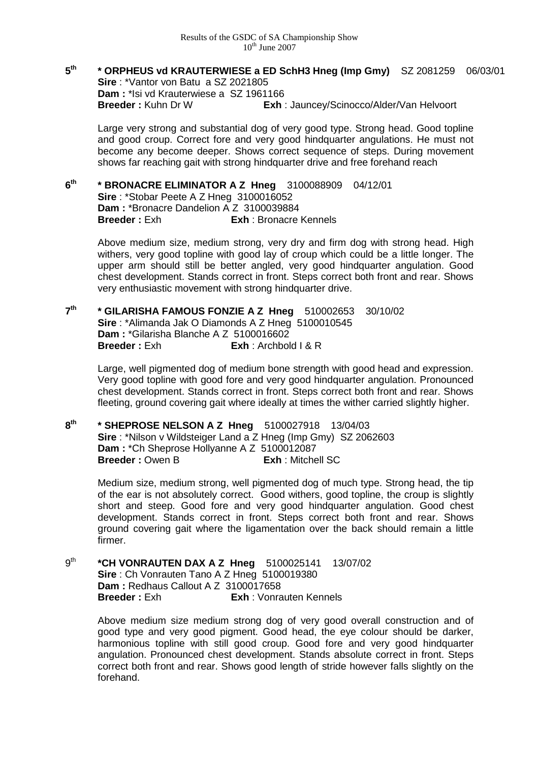**5th \* ORPHEUS vd KRAUTERWIESE a ED SchH3 Hneg (Imp Gmy)** SZ 2081259 06/03/01 **Sire** : \*Vantor von Batu a SZ 2021805 **Dam : \*Isi vd Krauterwiese a SZ 1961166**<br>**Breeder : Kuhn Dr W** Exh **Exh** : Jauncey/Scinocco/Alder/Van Helvoort

Large very strong and substantial dog of very good type. Strong head. Good topline and good croup. Correct fore and very good hindquarter angulations. He must not become any become deeper. Shows correct sequence of steps. During movement shows far reaching gait with strong hindquarter drive and free forehand reach

**6th \* BRONACRE ELIMINATOR A Z Hneg** 3100088909 04/12/01 **Sire** : \*Stobar Peete A Z Hneg 3100016052 **Dam : \*Bronacre Dandelion A Z 3100039884**<br>**Breeder : Exh Exh Exh Bronacre Exh** : Bronacre Kennels

Above medium size, medium strong, very dry and firm dog with strong head. High withers, very good topline with good lay of croup which could be a little longer. The upper arm should still be better angled, very good hindquarter angulation. Good chest development. Stands correct in front. Steps correct both front and rear. Shows very enthusiastic movement with strong hindquarter drive.

**7th \* GILARISHA FAMOUS FONZIE A Z Hneg** 510002653 30/10/02 **Sire** : \*Alimanda Jak O Diamonds A Z Hneg 5100010545 **Dam : \*Gilarisha Blanche A Z 5100016602<br><b>Breeder : Exh Exh** : Archbol **Breeder :** Exh **Exh** : Archbold I & R

Large, well pigmented dog of medium bone strength with good head and expression. Very good topline with good fore and very good hindquarter angulation. Pronounced chest development. Stands correct in front. Steps correct both front and rear. Shows fleeting, ground covering gait where ideally at times the wither carried slightly higher.

**8th \* SHEPROSE NELSON A Z Hneg** 5100027918 13/04/03 **Sire** : \*Nilson v Wildsteiger Land a Z Hneg (Imp Gmy) SZ 2062603 **Dam : \*Ch Sheprose Hollyanne A Z 5100012087<br><b>Breeder : Owen B Exh** : Mitchell SC **Breeder: Owen B** 

Medium size, medium strong, well pigmented dog of much type. Strong head, the tip of the ear is not absolutely correct. Good withers, good topline, the croup is slightly short and steep. Good fore and very good hindquarter angulation. Good chest development. Stands correct in front. Steps correct both front and rear. Shows ground covering gait where the ligamentation over the back should remain a little firmer.

9th **\*CH VONRAUTEN DAX A Z Hneg** 5100025141 13/07/02 **Sire** : Ch Vonrauten Tano A Z Hneg 5100019380 **Dam : Redhaus Callout A Z 3100017658**<br>**Breeder : Exh Exh : Vonrand R Exh** : Vonrauten Kennels

> Above medium size medium strong dog of very good overall construction and of good type and very good pigment. Good head, the eye colour should be darker, harmonious topline with still good croup. Good fore and very good hindquarter angulation. Pronounced chest development. Stands absolute correct in front. Steps correct both front and rear. Shows good length of stride however falls slightly on the forehand.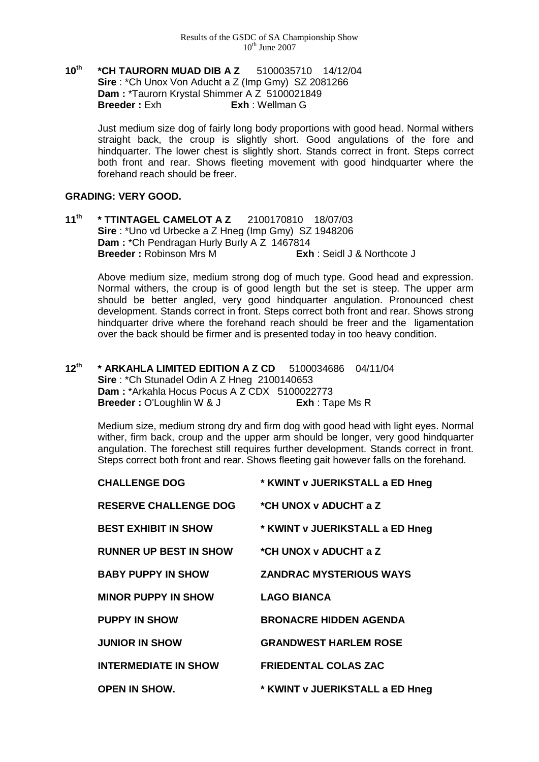**10th \*CH TAURORN MUAD DIB A Z** 5100035710 14/12/04 **Sire** : \*Ch Unox Von Aducht a Z (Imp Gmy) SZ 2081266 **Dam : \*Taurorn Krystal Shimmer A Z 5100021849**<br>**Breeder : Exh Exh** : Wellman G **Breeder :** Exh **Exh** : Wellman G

> Just medium size dog of fairly long body proportions with good head. Normal withers straight back, the croup is slightly short. Good angulations of the fore and hindquarter. The lower chest is slightly short. Stands correct in front. Steps correct both front and rear. Shows fleeting movement with good hindquarter where the forehand reach should be freer.

### **GRADING: VERY GOOD.**

**11th \* TTINTAGEL CAMELOT A Z** 2100170810 18/07/03 **Sire** : \*Uno vd Urbecke a Z Hneg (Imp Gmy) SZ 1948206 **Dam : \*Ch Pendragan Hurly Burly A Z 1467814**<br>**Breeder : Robinson Mrs M Exh : Seidl J & Northcote J Breeder : Robinson Mrs M** 

Above medium size, medium strong dog of much type. Good head and expression. Normal withers, the croup is of good length but the set is steep. The upper arm should be better angled, very good hindquarter angulation. Pronounced chest development. Stands correct in front. Steps correct both front and rear. Shows strong hindquarter drive where the forehand reach should be freer and the ligamentation over the back should be firmer and is presented today in too heavy condition.

**12th \* ARKAHLA LIMITED EDITION A Z CD** 5100034686 04/11/04 **Sire** : \*Ch Stunadel Odin A Z Hneg 2100140653 Dam : \*Arkahla Hocus Pocus A Z CDX 5100022773 **Breeder :** O'Loughlin W & J **Exh** : Tape Ms R

Medium size, medium strong dry and firm dog with good head with light eyes. Normal wither, firm back, croup and the upper arm should be longer, very good hindquarter angulation. The forechest still requires further development. Stands correct in front. Steps correct both front and rear. Shows fleeting gait however falls on the forehand.

| <b>CHALLENGE DOG</b>          | * KWINT v JUERIKSTALL a ED Hneg |
|-------------------------------|---------------------------------|
| <b>RESERVE CHALLENGE DOG</b>  | *CH UNOX v ADUCHT a Z           |
| <b>BEST EXHIBIT IN SHOW</b>   | * KWINT v JUERIKSTALL a ED Hneg |
| <b>RUNNER UP BEST IN SHOW</b> | *CH UNOX v ADUCHT a Z           |
| <b>BABY PUPPY IN SHOW</b>     | <b>ZANDRAC MYSTERIOUS WAYS</b>  |
| <b>MINOR PUPPY IN SHOW</b>    | <b>LAGO BIANCA</b>              |
| <b>PUPPY IN SHOW</b>          | <b>BRONACRE HIDDEN AGENDA</b>   |
| <b>JUNIOR IN SHOW</b>         | <b>GRANDWEST HARLEM ROSE</b>    |
| <b>INTERMEDIATE IN SHOW</b>   | <b>FRIEDENTAL COLAS ZAC</b>     |
| <b>OPEN IN SHOW.</b>          | * KWINT v JUERIKSTALL a ED Hneg |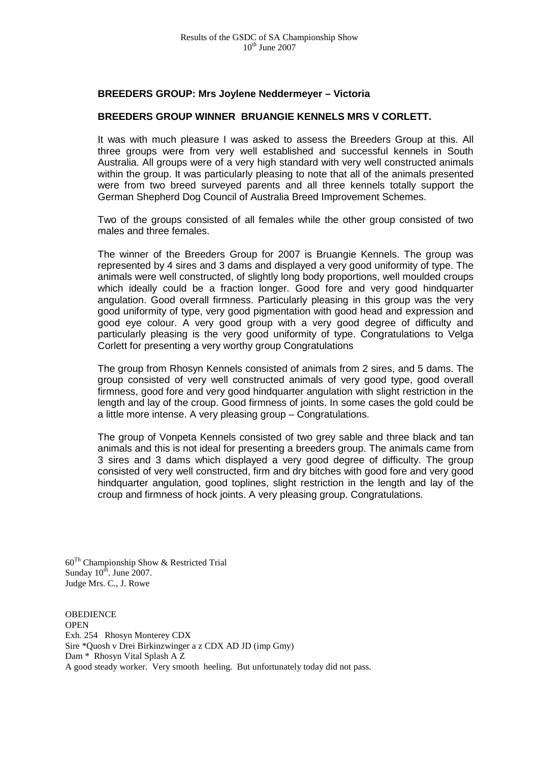#### **BREEDERS GROUP: Mrs Joylene Neddermeyer – Victoria**

#### **BREEDERS GROUP WINNER BRUANGIE KENNELS MRS V CORLETT.**

It was with much pleasure I was asked to assess the Breeders Group at this. All three groups were from very well established and successful kennels in South Australia. All groups were of a very high standard with very well constructed animals within the group. It was particularly pleasing to note that all of the animals presented were from two breed surveyed parents and all three kennels totally support the German Shepherd Dog Council of Australia Breed Improvement Schemes.

Two of the groups consisted of all females while the other group consisted of two males and three females.

The winner of the Breeders Group for 2007 is Bruangie Kennels. The group was represented by 4 sires and 3 dams and displayed a very good uniformity of type. The animals were well constructed, of slightly long body proportions, well moulded croups which ideally could be a fraction longer. Good fore and very good hindquarter angulation. Good overall firmness. Particularly pleasing in this group was the very good uniformity of type, very good pigmentation with good head and expression and good eye colour. A very good group with a very good degree of difficulty and particularly pleasing is the very good uniformity of type. Congratulations to Velga Corlett for presenting a very worthy group Congratulations

The group from Rhosyn Kennels consisted of animals from 2 sires, and 5 dams. The group consisted of very well constructed animals of very good type, good overall firmness, good fore and very good hindquarter angulation with slight restriction in the length and lay of the croup. Good firmness of joints. In some cases the gold could be a little more intense. A very pleasing group – Congratulations.

The group of Vonpeta Kennels consisted of two grey sable and three black and tan animals and this is not ideal for presenting a breeders group. The animals came from 3 sires and 3 dams which displayed a very good degree of difficulty. The group consisted of very well constructed, firm and dry bitches with good fore and very good hindquarter angulation, good toplines, slight restriction in the length and lay of the croup and firmness of hock joints. A very pleasing group. Congratulations.

60Th Championship Show & Restricted Trial Sunday  $10^{\text{th}}$ . June 2007. Judge Mrs. C., J. Rowe

**OBEDIENCE OPEN** Exh. 254 Rhosyn Monterey CDX Sire \*Quosh v Drei Birkinzwinger a z CDX AD JD (imp Gmy) Dam \* Rhosyn Vital Splash A Z A good steady worker. Very smooth heeling. But unfortunately today did not pass.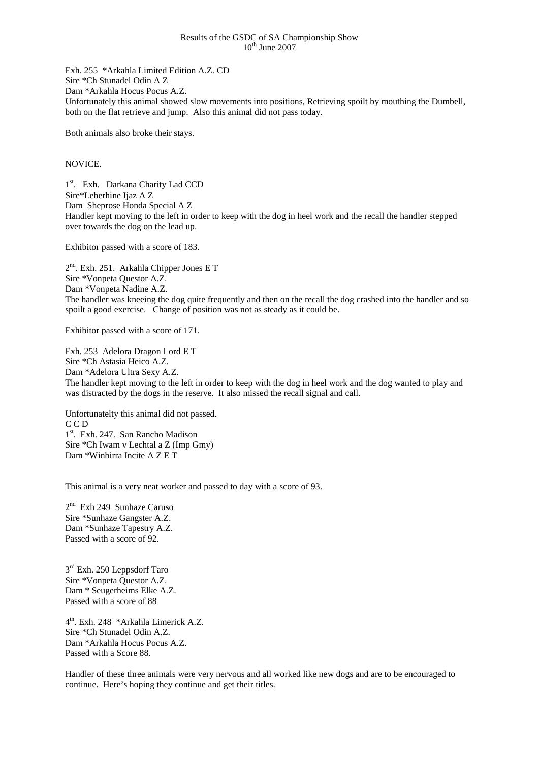#### Results of the GSDC of SA Championship Show  $10^{th}$  June 2007

Exh. 255 \*Arkahla Limited Edition A.Z. CD Sire \*Ch Stunadel Odin A Z Dam \*Arkahla Hocus Pocus A.Z. Unfortunately this animal showed slow movements into positions, Retrieving spoilt by mouthing the Dumbell, both on the flat retrieve and jump. Also this animal did not pass today.

Both animals also broke their stays.

#### NOVICE.

1<sup>st</sup>. Exh. Darkana Charity Lad CCD Sire\*Leberhine Ijaz A Z Dam Sheprose Honda Special A Z Handler kept moving to the left in order to keep with the dog in heel work and the recall the handler stepped over towards the dog on the lead up.

Exhibitor passed with a score of 183.

2nd. Exh. 251. Arkahla Chipper Jones E T Sire \*Vonpeta Questor A.Z. Dam \*Vonpeta Nadine A.Z. The handler was kneeing the dog quite frequently and then on the recall the dog crashed into the handler and so spoilt a good exercise. Change of position was not as steady as it could be.

Exhibitor passed with a score of 171.

Exh. 253 Adelora Dragon Lord E T Sire \*Ch Astasia Heico A.Z. Dam \*Adelora Ultra Sexy A.Z. The handler kept moving to the left in order to keep with the dog in heel work and the dog wanted to play and was distracted by the dogs in the reserve. It also missed the recall signal and call.

Unfortunatelty this animal did not passed. C C D 1<sup>st</sup>. Exh. 247. San Rancho Madison Sire \*Ch Iwam v Lechtal a Z (Imp Gmy) Dam \*Winbirra Incite A Z E T

This animal is a very neat worker and passed to day with a score of 93.

 $2<sup>nd</sup>$  Exh 249 Sunhaze Caruso Sire \*Sunhaze Gangster A.Z. Dam \*Sunhaze Tapestry A.Z. Passed with a score of 92.

3<sup>rd</sup> Exh. 250 Leppsdorf Taro Sire \*Vonpeta Questor A.Z. Dam \* Seugerheims Elke A.Z. Passed with a score of 88

4th. Exh. 248 \*Arkahla Limerick A.Z. Sire \*Ch Stunadel Odin A.Z. Dam \*Arkahla Hocus Pocus A.Z. Passed with a Score 88.

Handler of these three animals were very nervous and all worked like new dogs and are to be encouraged to continue. Here's hoping they continue and get their titles.